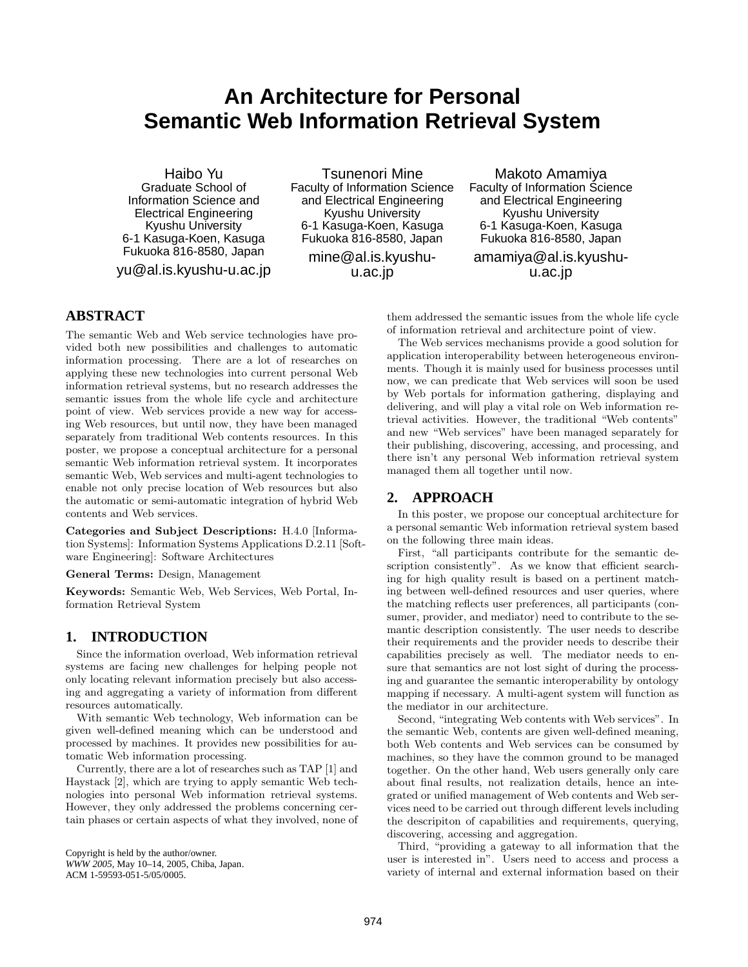# **An Architecture for Personal Semantic Web Information Retrieval System**

Haibo Yu Graduate School of Information Science and Electrical Engineering Kyushu University 6-1 Kasuga-Koen, Kasuga Fukuoka 816-8580, Japan

yu@al.is.kyushu-u.ac.jp

Tsunenori Mine Faculty of Information Science and Electrical Engineering Kyushu University 6-1 Kasuga-Koen, Kasuga Fukuoka 816-8580, Japan mine@al.is.kyushu-

u.ac.jp

Makoto Amamiya Faculty of Information Science and Electrical Engineering Kyushu University 6-1 Kasuga-Koen, Kasuga Fukuoka 816-8580, Japan amamiya@al.is.kyushuu.ac.jp

# **ABSTRACT**

The semantic Web and Web service technologies have provided both new possibilities and challenges to automatic information processing. There are a lot of researches on applying these new technologies into current personal Web information retrieval systems, but no research addresses the semantic issues from the whole life cycle and architecture point of view. Web services provide a new way for accessing Web resources, but until now, they have been managed separately from traditional Web contents resources. In this poster, we propose a conceptual architecture for a personal semantic Web information retrieval system. It incorporates semantic Web, Web services and multi-agent technologies to enable not only precise location of Web resources but also the automatic or semi-automatic integration of hybrid Web contents and Web services.

**Categories and Subject Descriptions:** H.4.0 [Information Systems]: Information Systems Applications D.2.11 [Software Engineering]: Software Architectures

**General Terms:** Design, Management

**Keywords:** Semantic Web, Web Services, Web Portal, Information Retrieval System

# **1. INTRODUCTION**

Since the information overload, Web information retrieval systems are facing new challenges for helping people not only locating relevant information precisely but also accessing and aggregating a variety of information from different resources automatically.

With semantic Web technology, Web information can be given well-defined meaning which can be understood and processed by machines. It provides new possibilities for automatic Web information processing.

Currently, there are a lot of researches such as TAP [1] and Haystack [2], which are trying to apply semantic Web technologies into personal Web information retrieval systems. However, they only addressed the problems concerning certain phases or certain aspects of what they involved, none of

Copyright is held by the author/owner. *WWW 2005,* May 10–14, 2005, Chiba, Japan. ACM 1-59593-051-5/05/0005.

them addressed the semantic issues from the whole life cycle of information retrieval and architecture point of view.

The Web services mechanisms provide a good solution for application interoperability between heterogeneous environments. Though it is mainly used for business processes until now, we can predicate that Web services will soon be used by Web portals for information gathering, displaying and delivering, and will play a vital role on Web information retrieval activities. However, the traditional "Web contents" and new "Web services" have been managed separately for their publishing, discovering, accessing, and processing, and there isn't any personal Web information retrieval system managed them all together until now.

# **2. APPROACH**

In this poster, we propose our conceptual architecture for a personal semantic Web information retrieval system based on the following three main ideas.

First, "all participants contribute for the semantic description consistently". As we know that efficient searching for high quality result is based on a pertinent matching between well-defined resources and user queries, where the matching reflects user preferences, all participants (consumer, provider, and mediator) need to contribute to the semantic description consistently. The user needs to describe their requirements and the provider needs to describe their capabilities precisely as well. The mediator needs to ensure that semantics are not lost sight of during the processing and guarantee the semantic interoperability by ontology mapping if necessary. A multi-agent system will function as the mediator in our architecture.

Second, "integrating Web contents with Web services". In the semantic Web, contents are given well-defined meaning, both Web contents and Web services can be consumed by machines, so they have the common ground to be managed together. On the other hand, Web users generally only care about final results, not realization details, hence an integrated or unified management of Web contents and Web services need to be carried out through different levels including the descripiton of capabilities and requirements, querying, discovering, accessing and aggregation.

Third, "providing a gateway to all information that the user is interested in". Users need to access and process a variety of internal and external information based on their